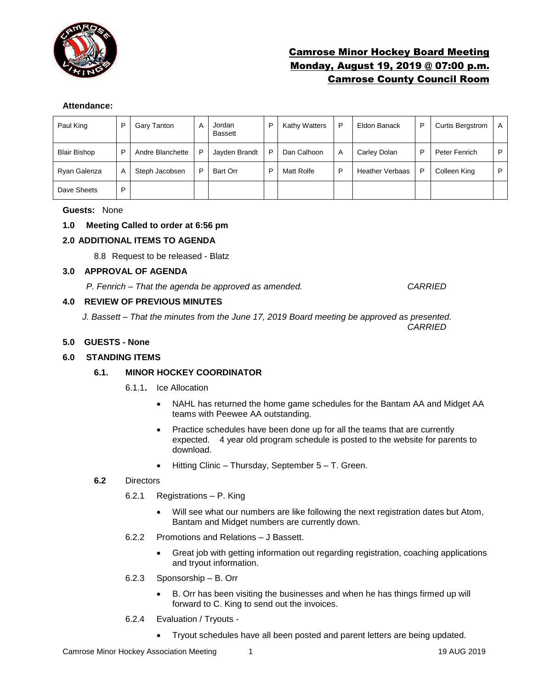

# Camrose Minor Hockey Board Meeting Monday, August 19, 2019 @ 07:00 p.m. Camrose County Council Room

# **Attendance:**

| Paul King           | P | Gary Tanton      | A | Jordan<br><b>Bassett</b> | D | <b>Kathy Watters</b> | P | Eldon Banack           | P | <b>Curtis Bergstrom</b> | A |
|---------------------|---|------------------|---|--------------------------|---|----------------------|---|------------------------|---|-------------------------|---|
| <b>Blair Bishop</b> | P | Andre Blanchette | P | Jayden Brandt            | D | Dan Calhoon          | A | Carley Dolan           | P | Peter Fenrich           | P |
| Ryan Galenza        | А | Steph Jacobsen   | P | Bart Orr                 | D | Matt Rolfe           | D | <b>Heather Verbaas</b> | P | Colleen King            | P |
| Dave Sheets         | P |                  |   |                          |   |                      |   |                        |   |                         |   |

#### **Guests:** None

# **1.0 Meeting Called to order at 6:56 pm**

# **2.0 ADDITIONAL ITEMS TO AGENDA**

8.8 Request to be released - Blatz

#### **3.0 APPROVAL OF AGENDA**

*P. Fenrich – That the agenda be approved as amended. CARRIED*

# **4.0 REVIEW OF PREVIOUS MINUTES**

*J. Bassett – That the minutes from the June 17, 2019 Board meeting be approved as presented. CARRIED*

# **5.0 GUESTS - None**

# **6.0 STANDING ITEMS**

# **6.1. MINOR HOCKEY COORDINATOR**

- 6.1.1**.** Ice Allocation
	- NAHL has returned the home game schedules for the Bantam AA and Midget AA teams with Peewee AA outstanding.
	- Practice schedules have been done up for all the teams that are currently expected. 4 year old program schedule is posted to the website for parents to download.
	- Hitting Clinic Thursday, September 5 T. Green.

#### **6.2** Directors

- 6.2.1 Registrations P. King
	- Will see what our numbers are like following the next registration dates but Atom, Bantam and Midget numbers are currently down.
- 6.2.2 Promotions and Relations J Bassett.
	- Great job with getting information out regarding registration, coaching applications and tryout information.
- 6.2.3 Sponsorship B. Orr
	- B. Orr has been visiting the businesses and when he has things firmed up will forward to C. King to send out the invoices.
- 6.2.4 Evaluation / Tryouts
	- Tryout schedules have all been posted and parent letters are being updated.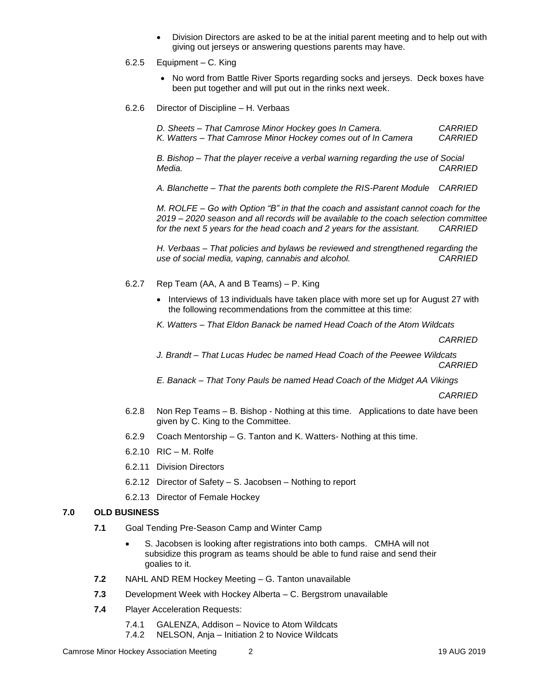Division Directors are asked to be at the initial parent meeting and to help out with giving out jerseys or answering questions parents may have.

#### 6.2.5 Equipment – C. King

- No word from Battle River Sports regarding socks and jerseys. Deck boxes have been put together and will put out in the rinks next week.
- 6.2.6 Director of Discipline H. Verbaas

*D. Sheets – That Camrose Minor Hockey goes In Camera. CARRIED* 

*K. Watters – That Camrose Minor Hockey comes out of In Camera CARRIED*

*B. Bishop – That the player receive a verbal warning regarding the use of Social Media. CARRIED*

*A. Blanchette – That the parents both complete the RIS-Parent Module CARRIED*

*M. ROLFE – Go with Option "B" in that the coach and assistant cannot coach for the 2019 – 2020 season and all records will be available to the coach selection committee for the next 5 years for the head coach and 2 years for the assistant. CARRIED*

*H. Verbaas – That policies and bylaws be reviewed and strengthened regarding the use of social media, vaping, cannabis and alcohol.* 

- 6.2.7 Rep Team (AA, A and B Teams) P. King
	- Interviews of 13 individuals have taken place with more set up for August 27 with the following recommendations from the committee at this time:
	- *K. Watters – That Eldon Banack be named Head Coach of the Atom Wildcats*

*CARRIED*

*J. Brandt – That Lucas Hudec be named Head Coach of the Peewee Wildcats CARRIED*

*E. Banack – That Tony Pauls be named Head Coach of the Midget AA Vikings*

*CARRIED*

- 6.2.8 Non Rep Teams B. Bishop Nothing at this time. Applications to date have been given by C. King to the Committee.
- 6.2.9 Coach Mentorship G. Tanton and K. Watters- Nothing at this time.
- 6.2.10 RIC M. Rolfe
- 6.2.11 Division Directors
- 6.2.12 Director of Safety S. Jacobsen Nothing to report
- 6.2.13 Director of Female Hockey

# **7.0 OLD BUSINESS**

- **7.1** Goal Tending Pre-Season Camp and Winter Camp
	- S. Jacobsen is looking after registrations into both camps. CMHA will not subsidize this program as teams should be able to fund raise and send their goalies to it.
- **7.2** NAHL AND REM Hockey Meeting G. Tanton unavailable
- **7.3** Development Week with Hockey Alberta C. Bergstrom unavailable
- **7.4** Player Acceleration Requests:
	- 7.4.1 GALENZA, Addison Novice to Atom Wildcats
	- 7.4.2 NELSON, Anja Initiation 2 to Novice Wildcats